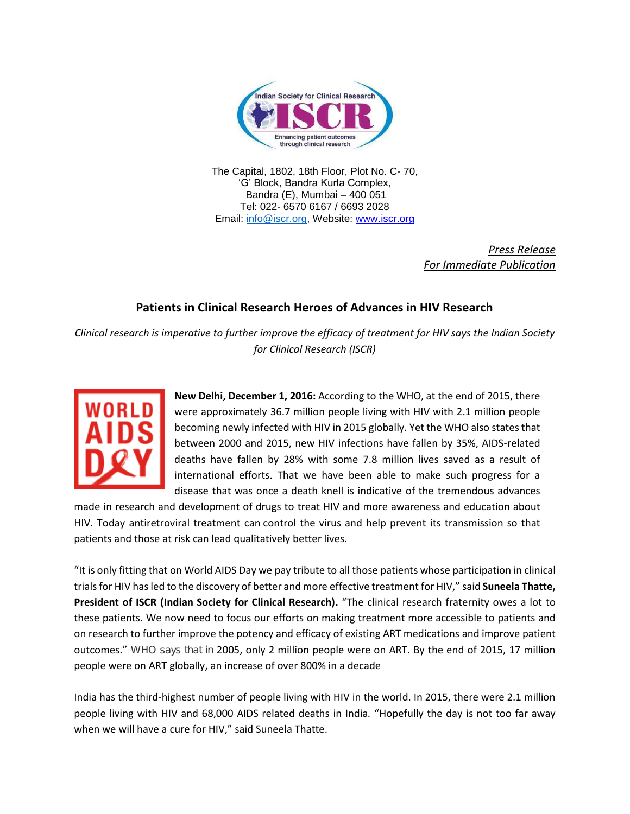

The Capital, 1802, 18th Floor, Plot No. C- 70, 'G' Block, Bandra Kurla Complex, Bandra (E), Mumbai – 400 051 Tel: 022- 6570 6167 / 6693 2028 Email: [info@iscr.org,](mailto:info@iscr.org) Website: www.iscr.org

> *Press Release For Immediate Publication*

## **Patients in Clinical Research Heroes of Advances in HIV Research**

*Clinical research is imperative to further improve the efficacy of treatment for HIV says the Indian Society for Clinical Research (ISCR)* 



**New Delhi, December 1, 2016:** According to the WHO, at the end of 2015, there were approximately 36.7 million people living with HIV with 2.1 million people becoming newly infected with HIV in 2015 globally. Yet the WHO also states that between 2000 and 2015, new HIV infections have fallen by 35%, AIDS-related deaths have fallen by 28% with some 7.8 million lives saved as a result of international efforts. That we have been able to make such progress for a disease that was once a death knell is indicative of the tremendous advances

made in research and development of drugs to treat HIV and more awareness and education about HIV. Today antiretroviral treatment can control the virus and help prevent its transmission so that patients and those at risk can lead qualitatively better lives.

"It is only fitting that on World AIDS Day we pay tribute to all those patients whose participation in clinical trials for HIV has led to the discovery of better and more effective treatment for HIV," said **Suneela Thatte, President of ISCR (Indian Society for Clinical Research).** "The clinical research fraternity owes a lot to these patients. We now need to focus our efforts on making treatment more accessible to patients and on research to further improve the potency and efficacy of existing ART medications and improve patient outcomes." WHO says that in 2005, only 2 million people were on ART. By the end of 2015, 17 million people were on ART globally, an increase of over 800% in a decade

India has the third-highest number of people living with HIV in the world. In 2015, there were 2.1 million people living with HIV and 68,000 AIDS related deaths in India*.* "Hopefully the day is not too far away when we will have a cure for HIV," said Suneela Thatte.